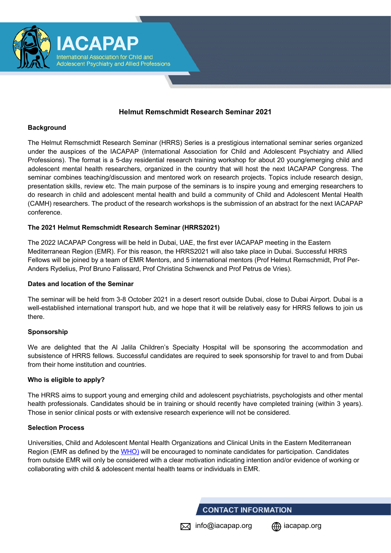

## **Helmut Remschmidt Research Seminar 2021**

#### **Background**

The Helmut Remschmidt Research Seminar (HRRS) Series is a prestigious international seminar series organized under the auspices of the IACAPAP (International Association for Child and Adolescent Psychiatry and Allied Professions). The format is a 5-day residential research training workshop for about 20 young/emerging child and adolescent mental health researchers, organized in the country that will host the next IACAPAP Congress. The seminar combines teaching/discussion and mentored work on research projects. Topics include research design, presentation skills, review etc. The main purpose of the seminars is to inspire young and emerging researchers to do research in child and adolescent mental health and build a community of Child and Adolescent Mental Health (CAMH) researchers. The product of the research workshops is the submission of an abstract for the next IACAPAP conference.

## **The 2021 Helmut Remschmidt Research Seminar (HRRS2021)**

The 2022 IACAPAP Congress will be held in Dubai, UAE, the first ever IACAPAP meeting in the Eastern Mediterranean Region (EMR). For this reason, the HRRS2021 will also take place in Dubai. Successful HRRS Fellows will be joined by a team of EMR Mentors, and 5 international mentors (Prof Helmut Remschmidt, Prof Per-Anders Rydelius, Prof Bruno Falissard, Prof Christina Schwenck and Prof Petrus de Vries).

## **Dates and location of the Seminar**

The seminar will be held from 3-8 October 2021 in a desert resort outside Dubai, close to Dubai Airport. Dubai is a well-established international transport hub, and we hope that it will be relatively easy for HRRS fellows to join us there.

## **Sponsorship**

We are delighted that the Al Jalila Children's Specialty Hospital will be sponsoring the accommodation and subsistence of HRRS fellows. Successful candidates are required to seek sponsorship for travel to and from Dubai from their home institution and countries.

## **Who is eligible to apply?**

The HRRS aims to support young and emerging child and adolescent psychiatrists, psychologists and other mental health professionals. Candidates should be in training or should recently have completed training (within 3 years). Those in senior clinical posts or with extensive research experience will not be considered.

#### **Selection Process**

Universities, Child and Adolescent Mental Health Organizations and Clinical Units in the Eastern Mediterranean Region (EMR as defined by the WHO) will be encouraged to nominate candidates for participation. Candidates from outside EMR will only be considered with a clear motivation indicating intention and/or evidence of working or collaborating with child & adolescent mental health teams or individuals in EMR.

## **CONTACT INFORMATION**